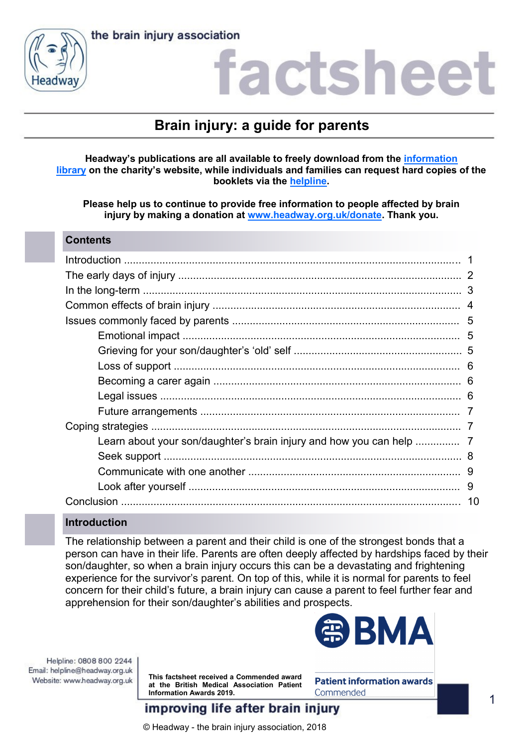



### actshee

### **Brain injury: a guide for parents**

### **Headway's publications are all available to freely download from the [information](https://www.headway.org.uk/about-brain-injury/individuals/information-library/)  [library](https://www.headway.org.uk/about-brain-injury/individuals/information-library/) on the charity's website, while individuals and families can request hard copies of the booklets via the [helpline.](https://www.headway.org.uk/supporting-you/helpline/)**

**Please help us to continue to provide free information to people affected by brain injury by making a donation at [www.headway.org.uk/donate.](http://www.headway.org.uk/donate) Thank you.**

### **Contents**

### **Introduction**

The relationship between a parent and their child is one of the strongest bonds that a person can have in their life. Parents are often deeply affected by hardships faced by their son/daughter, so when a brain injury occurs this can be a devastating and frightening experience for the survivor's parent. On top of this, while it is normal for parents to feel concern for their child's future, a brain injury can cause a parent to feel further fear and apprehension for their son/daughter's abilities and prospects.

Helpline: 0808 800 2244 Email: helpline@headway.org.uk Website: www.headway.org.uk

**This factsheet received a Commended award at the British Medical Association Patient Information Awards 2019.** 



**Patient information awards** Commended

improving life after brain injury

© Headway - the brain injury association, 2018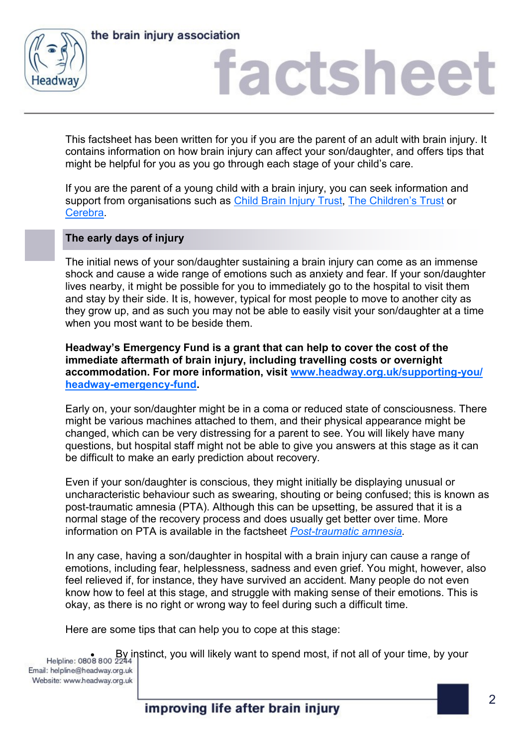



This factsheet has been written for you if you are the parent of an adult with brain injury. It contains information on how brain injury can affect your son/daughter, and offers tips that might be helpful for you as you go through each stage of your child's care.

If you are the parent of a young child with a brain injury, you can seek information and support from organisations such as [Child Brain Injury Trust,](https://childbraininjurytrust.org.uk/) [The Children's Trust](https://www.thechildrenstrust.org.uk/) or [Cerebra.](http://www.cerebra.org.uk/)

### **The early days of injury**

The initial news of your son/daughter sustaining a brain injury can come as an immense shock and cause a wide range of emotions such as anxiety and fear. If your son/daughter lives nearby, it might be possible for you to immediately go to the hospital to visit them and stay by their side. It is, however, typical for most people to move to another city as they grow up, and as such you may not be able to easily visit your son/daughter at a time when you most want to be beside them.

**Headway's Emergency Fund is a grant that can help to cover the cost of the immediate aftermath of brain injury, including travelling costs or overnight accommodation. For more information, visit [www.headway.org.uk/supporting-you/](http://www.headway.org.uk/supporting-you/headway-emergency-fund) [headway-emergency-fund.](http://www.headway.org.uk/supporting-you/headway-emergency-fund)** 

Early on, your son/daughter might be in a coma or reduced state of consciousness. There might be various machines attached to them, and their physical appearance might be changed, which can be very distressing for a parent to see. You will likely have many questions, but hospital staff might not be able to give you answers at this stage as it can be difficult to make an early prediction about recovery.

Even if your son/daughter is conscious, they might initially be displaying unusual or uncharacteristic behaviour such as swearing, shouting or being confused; this is known as post-traumatic amnesia (PTA). Although this can be upsetting, be assured that it is a normal stage of the recovery process and does usually get better over time. More information on PTA is available in the factsheet *[Post-traumatic amnesia.](https://www.headway.org.uk/media/2815/post-traumatic-amnesia-factsheet.pdf)* 

In any case, having a son/daughter in hospital with a brain injury can cause a range of emotions, including fear, helplessness, sadness and even grief. You might, however, also feel relieved if, for instance, they have survived an accident. Many people do not even know how to feel at this stage, and struggle with making sense of their emotions. This is okay, as there is no right or wrong way to feel during such a difficult time.

Here are some tips that can help you to cope at this stage:

By instinct, you will likely want to spend most, if not all of your time, by your

Email: helpline@headway.org.uk Website: www.headway.org.uk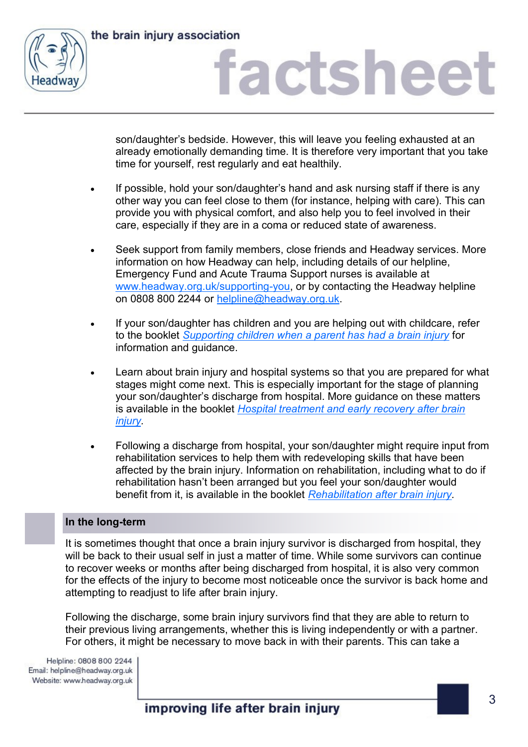the brain injury association



### factsheet

son/daughter's bedside. However, this will leave you feeling exhausted at an already emotionally demanding time. It is therefore very important that you take time for yourself, rest regularly and eat healthily.

- If possible, hold your son/daughter's hand and ask nursing staff if there is any other way you can feel close to them (for instance, helping with care). This can provide you with physical comfort, and also help you to feel involved in their care, especially if they are in a coma or reduced state of awareness.
- Seek support from family members, close friends and Headway services. More information on how Headway can help, including details of our helpline, Emergency Fund and Acute Trauma Support nurses is available at [www.headway.org.uk/supporting-you,](http://www.headway.org.uk/supporting-you/headway-emergency-fund) or by contacting the Headway helpline on 0808 800 2244 or [helpline@headway.org.uk.](mailto:helpline@headway.org.uk)
- If your son/daughter has children and you are helping out with childcare, refer to the booklet *[Supporting children when a parent has had a brain injury](https://www.headway.org.uk/media/4311/supporting-children-when-a-parent-has-had-a-brain-injury-e-booklet.pdf)* for information and guidance.
- Learn about brain injury and hospital systems so that you are prepared for what stages might come next. This is especially important for the stage of planning your son/daughter's discharge from hospital. More guidance on these matters is available in the booklet *[Hospital treatment and early recovery after brain](https://www.headway.org.uk/media/3993/hospital-treatment-and-early-recovery-after-brain-injury-e-booklet.pdf)  [injury.](https://www.headway.org.uk/media/3993/hospital-treatment-and-early-recovery-after-brain-injury-e-booklet.pdf)*
- Following a discharge from hospital, your son/daughter might require input from rehabilitation services to help them with redeveloping skills that have been affected by the brain injury. Information on rehabilitation, including what to do if rehabilitation hasn't been arranged but you feel your son/daughter would benefit from it, is available in the booklet *[Rehabilitation after brain injury.](https://www.headway.org.uk/media/4001/rehabilitation-after-brain-injury-e-booklet.pdf)*

### **In the long-term**

It is sometimes thought that once a brain injury survivor is discharged from hospital, they will be back to their usual self in just a matter of time. While some survivors can continue to recover weeks or months after being discharged from hospital, it is also very common for the effects of the injury to become most noticeable once the survivor is back home and attempting to readjust to life after brain injury.

Following the discharge, some brain injury survivors find that they are able to return to their previous living arrangements, whether this is living independently or with a partner. For others, it might be necessary to move back in with their parents. This can take a

Helpline: 0808 800 2244 Email: helpline@headway.org.uk Website: www.headway.org.uk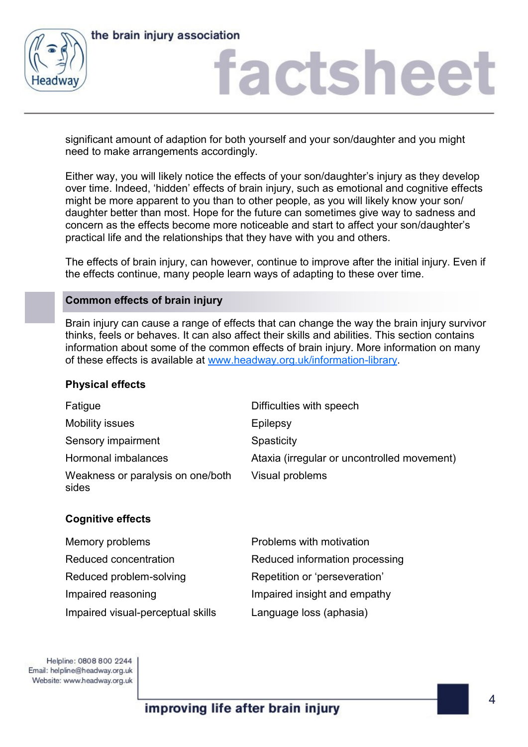



### factshee<sup>®</sup>

significant amount of adaption for both yourself and your son/daughter and you might need to make arrangements accordingly.

Either way, you will likely notice the effects of your son/daughter's injury as they develop over time. Indeed, 'hidden' effects of brain injury, such as emotional and cognitive effects might be more apparent to you than to other people, as you will likely know your son/ daughter better than most. Hope for the future can sometimes give way to sadness and concern as the effects become more noticeable and start to affect your son/daughter's practical life and the relationships that they have with you and others.

The effects of brain injury, can however, continue to improve after the initial injury. Even if the effects continue, many people learn ways of adapting to these over time.

### **Common effects of brain injury**

Brain injury can cause a range of effects that can change the way the brain injury survivor thinks, feels or behaves. It can also affect their skills and abilities. This section contains information about some of the common effects of brain injury. More information on many of these effects is available at [www.headway.org.uk/information-library.](http://www.headway.org.uk/information-library)

### **Physical effects**

| Fatigue                                    | Difficulties with speech                    |
|--------------------------------------------|---------------------------------------------|
| <b>Mobility issues</b>                     | Epilepsy                                    |
| Sensory impairment                         | Spasticity                                  |
| Hormonal imbalances                        | Ataxia (irregular or uncontrolled movement) |
| Weakness or paralysis on one/both<br>sides | Visual problems                             |

### **Cognitive effects**

| Memory problems                   | Problems with motivation       |
|-----------------------------------|--------------------------------|
| Reduced concentration             | Reduced information processing |
| Reduced problem-solving           | Repetition or 'perseveration'  |
| Impaired reasoning                | Impaired insight and empathy   |
| Impaired visual-perceptual skills | Language loss (aphasia)        |

Helpline: 0808 800 2244 Email: helpline@headway.org.uk Website: www.headway.org.uk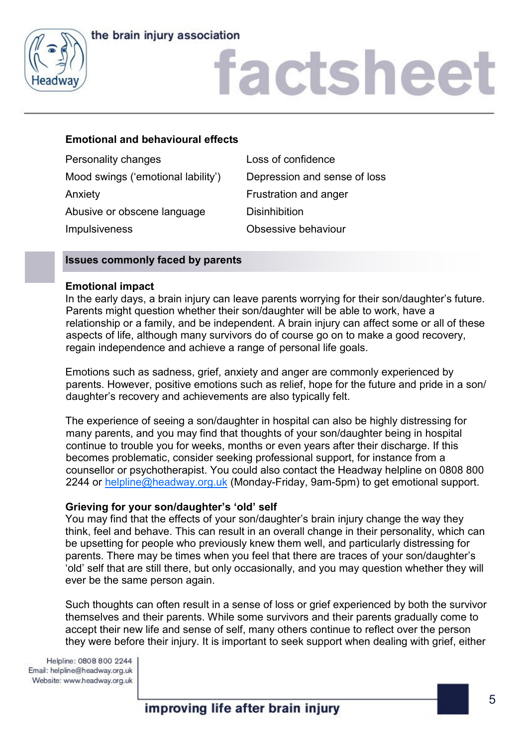### the brain injury association



### factsheet

### **Emotional and behavioural effects**

| Personality changes                | Loss of confidence           |
|------------------------------------|------------------------------|
| Mood swings ('emotional lability') | Depression and sense of loss |
| Anxiety                            | Frustration and anger        |
| Abusive or obscene language        | <b>Disinhibition</b>         |
| <b>Impulsiveness</b>               | Obsessive behaviour          |
|                                    |                              |

### **Issues commonly faced by parents**

### **Emotional impact**

In the early days, a brain injury can leave parents worrying for their son/daughter's future. Parents might question whether their son/daughter will be able to work, have a relationship or a family, and be independent. A brain injury can affect some or all of these aspects of life, although many survivors do of course go on to make a good recovery, regain independence and achieve a range of personal life goals.

Emotions such as sadness, grief, anxiety and anger are commonly experienced by parents. However, positive emotions such as relief, hope for the future and pride in a son/ daughter's recovery and achievements are also typically felt.

The experience of seeing a son/daughter in hospital can also be highly distressing for many parents, and you may find that thoughts of your son/daughter being in hospital continue to trouble you for weeks, months or even years after their discharge. If this becomes problematic, consider seeking professional support, for instance from a counsellor or psychotherapist. You could also contact the Headway helpline on 0808 800 2244 or [helpline@headway.org.uk](mailto:helpline@headway.org.uk) (Monday-Friday, 9am-5pm) to get emotional support.

### **Grieving for your son/daughter's 'old' self**

You may find that the effects of your son/daughter's brain injury change the way they think, feel and behave. This can result in an overall change in their personality, which can be upsetting for people who previously knew them well, and particularly distressing for parents. There may be times when you feel that there are traces of your son/daughter's 'old' self that are still there, but only occasionally, and you may question whether they will ever be the same person again.

Such thoughts can often result in a sense of loss or grief experienced by both the survivor themselves and their parents. While some survivors and their parents gradually come to accept their new life and sense of self, many others continue to reflect over the person they were before their injury. It is important to seek support when dealing with grief, either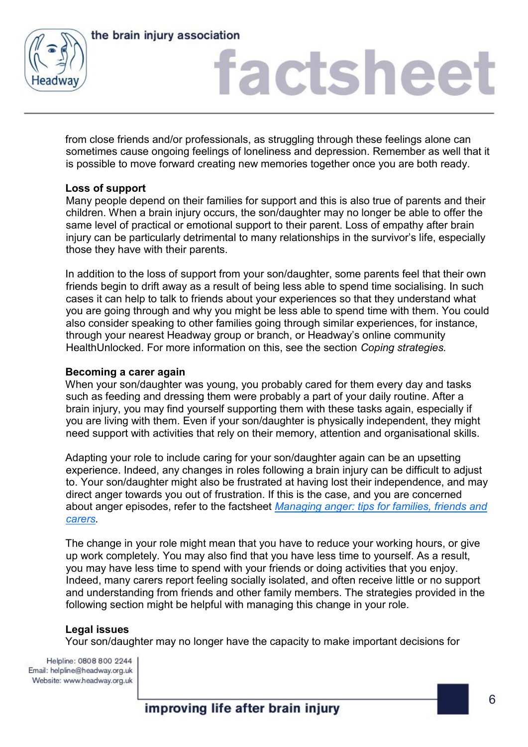



from close friends and/or professionals, as struggling through these feelings alone can sometimes cause ongoing feelings of loneliness and depression. Remember as well that it is possible to move forward creating new memories together once you are both ready.

### **Loss of support**

Many people depend on their families for support and this is also true of parents and their children. When a brain injury occurs, the son/daughter may no longer be able to offer the same level of practical or emotional support to their parent. Loss of empathy after brain injury can be particularly detrimental to many relationships in the survivor's life, especially those they have with their parents.

In addition to the loss of support from your son/daughter, some parents feel that their own friends begin to drift away as a result of being less able to spend time socialising. In such cases it can help to talk to friends about your experiences so that they understand what you are going through and why you might be less able to spend time with them. You could also consider speaking to other families going through similar experiences, for instance, through your nearest Headway group or branch, or Headway's online community HealthUnlocked. For more information on this, see the section *Coping strategies.*

### **Becoming a carer again**

When your son/daughter was young, you probably cared for them every day and tasks such as feeding and dressing them were probably a part of your daily routine. After a brain injury, you may find yourself supporting them with these tasks again, especially if you are living with them. Even if your son/daughter is physically independent, they might need support with activities that rely on their memory, attention and organisational skills.

Adapting your role to include caring for your son/daughter again can be an upsetting experience. Indeed, any changes in roles following a brain injury can be difficult to adjust to. Your son/daughter might also be frustrated at having lost their independence, and may direct anger towards you out of frustration. If this is the case, and you are concerned about anger episodes, refer to the factsheet *[Managing anger: tips for families, friends and](https://www.headway.org.uk/media/2810/managing-anger-tips-for-families-friends-and-carers-factsheet.pdf)  [carers.](https://www.headway.org.uk/media/2810/managing-anger-tips-for-families-friends-and-carers-factsheet.pdf)* 

The change in your role might mean that you have to reduce your working hours, or give up work completely. You may also find that you have less time to yourself. As a result, you may have less time to spend with your friends or doing activities that you enjoy. Indeed, many carers report feeling socially isolated, and often receive little or no support and understanding from friends and other family members. The strategies provided in the following section might be helpful with managing this change in your role.

### **Legal issues**

Your son/daughter may no longer have the capacity to make important decisions for

Helpline: 0808 800 2244 Email: helpline@headway.org.uk Website: www.headway.org.uk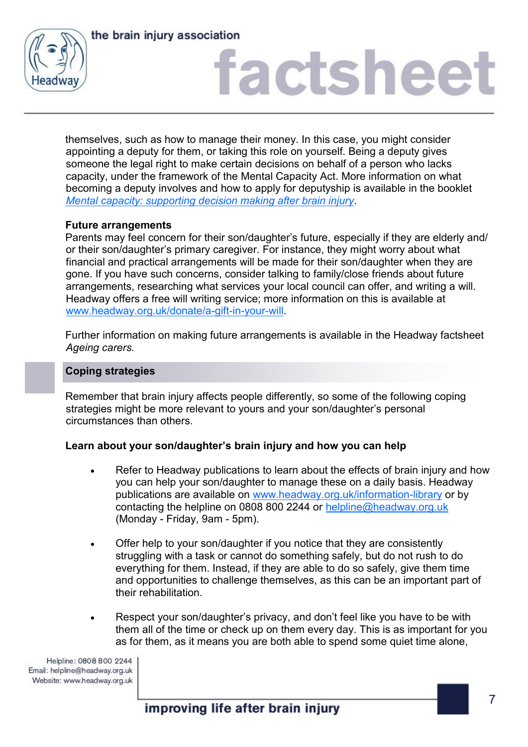



themselves, such as how to manage their money. In this case, you might consider appointing a deputy for them, or taking this role on yourself. Being a deputy gives someone the legal right to make certain decisions on behalf of a person who lacks capacity, under the framework of the Mental Capacity Act. More information on what becoming a deputy involves and how to apply for deputyship is available in the booklet *[Mental capacity: supporting decision making after brain injury.](https://www.headway.org.uk/media/4108/mental-capacity-supporting-decision-making-after-brain-injury-e-booklet.pdf)* 

### **Future arrangements**

Parents may feel concern for their son/daughter's future, especially if they are elderly and/ or their son/daughter's primary caregiver. For instance, they might worry about what financial and practical arrangements will be made for their son/daughter when they are gone. If you have such concerns, consider talking to family/close friends about future arrangements, researching what services your local council can offer, and writing a will. Headway offers a free will writing service; more information on this is available at [www.headway.org.uk/donate/a-gift-in-your-will.](https://www.headway.org.uk/donate/a-gift-in-your-will/)

Further information on making future arrangements is available in the Headway factsheet *Ageing carers.* 

### **Coping strategies**

Remember that brain injury affects people differently, so some of the following coping strategies might be more relevant to yours and your son/daughter's personal circumstances than others.

### **Learn about your son/daughter's brain injury and how you can help**

- Refer to Headway publications to learn about the effects of brain injury and how you can help your son/daughter to manage these on a daily basis. Headway publications are available on [www.headway.org.uk/information-library](http://www.headway.org.uk/information-library) or by contacting the helpline on 0808 800 2244 or [helpline@headway.org.uk](mailto:helpline@headway.org.uk) (Monday - Friday, 9am - 5pm).
- Offer help to your son/daughter if you notice that they are consistently struggling with a task or cannot do something safely, but do not rush to do everything for them. Instead, if they are able to do so safely, give them time and opportunities to challenge themselves, as this can be an important part of their rehabilitation.
- Respect your son/daughter's privacy, and don't feel like you have to be with them all of the time or check up on them every day. This is as important for you as for them, as it means you are both able to spend some quiet time alone,

Helpline: 0808 800 2244 Email: helpline@headway.org.uk Website: www.headway.org.uk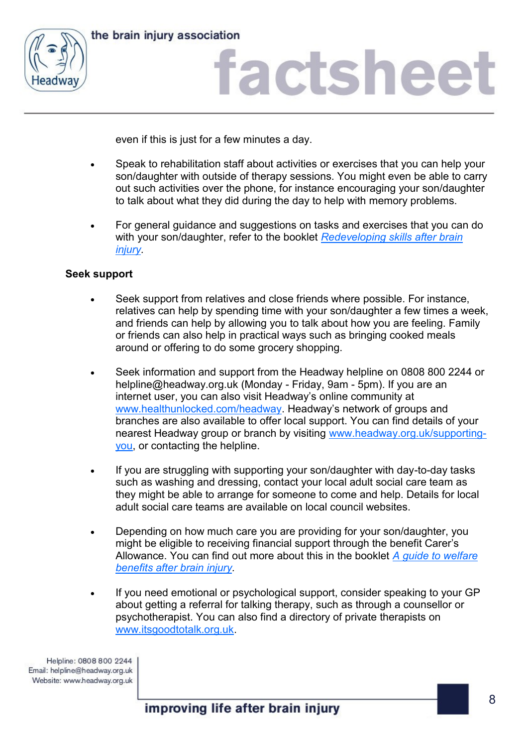



even if this is just for a few minutes a day.

- Speak to rehabilitation staff about activities or exercises that you can help your son/daughter with outside of therapy sessions. You might even be able to carry out such activities over the phone, for instance encouraging your son/daughter to talk about what they did during the day to help with memory problems.
- For general guidance and suggestions on tasks and exercises that you can do with your son/daughter, refer to the booklet *[Redeveloping skills after brain](https://www.headway.org.uk/media/4000/redeveloping-skills-after-brain-injury-e-booklet.pdf)  [injury.](https://www.headway.org.uk/media/4000/redeveloping-skills-after-brain-injury-e-booklet.pdf)*

### **Seek support**

- Seek support from relatives and close friends where possible. For instance, relatives can help by spending time with your son/daughter a few times a week, and friends can help by allowing you to talk about how you are feeling. Family or friends can also help in practical ways such as bringing cooked meals around or offering to do some grocery shopping.
- Seek information and support from the Headway helpline on 0808 800 2244 or helpline@headway.org.uk (Monday - Friday, 9am - 5pm). If you are an internet user, you can also visit Headway's online community at [www.healthunlocked.com/headway](http://www.healthunlocked.com/headway). Headway's network of groups and branches are also available to offer local support. You can find details of your nearest Headway group or branch by visiting [www.headway.org.uk/supporting](http://www.headway.org.uk/supporting-you)[you,](http://www.headway.org.uk/supporting-you) or contacting the helpline.
- If you are struggling with supporting your son/daughter with day-to-day tasks such as washing and dressing, contact your local adult social care team as they might be able to arrange for someone to come and help. Details for local adult social care teams are available on local council websites.
- Depending on how much care you are providing for your son/daughter, you might be eligible to receiving financial support through the benefit Carer's Allowance. You can find out more about this in the booklet *[A guide to welfare](https://www.headway.org.uk/media/3988/a-guide-to-welfare-benefits-after-brain-injury-e-booklet.pdf)  [benefits after brain injury.](https://www.headway.org.uk/media/3988/a-guide-to-welfare-benefits-after-brain-injury-e-booklet.pdf)*
- If you need emotional or psychological support, consider speaking to your GP about getting a referral for talking therapy, such as through a counsellor or psychotherapist. You can also find a directory of private therapists on [www.itsgoodtotalk.org.uk.](http://www.itsgoodtotalk.org.uk/)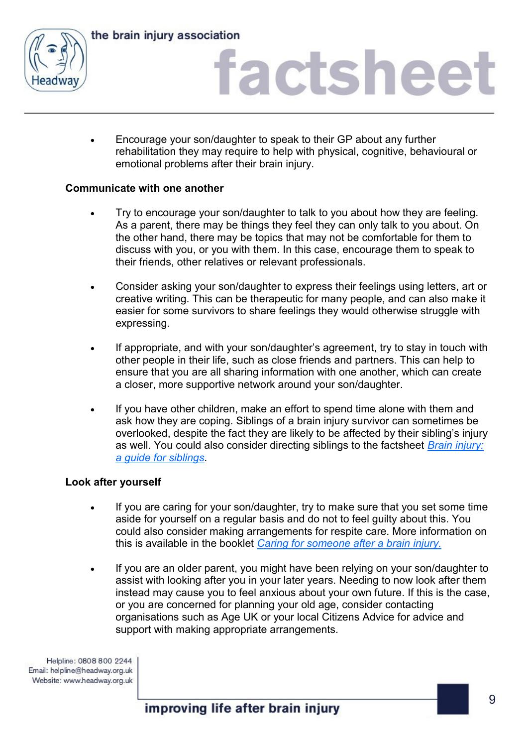



 Encourage your son/daughter to speak to their GP about any further rehabilitation they may require to help with physical, cognitive, behavioural or emotional problems after their brain injury.

### **Communicate with one another**

- Try to encourage your son/daughter to talk to you about how they are feeling. As a parent, there may be things they feel they can only talk to you about. On the other hand, there may be topics that may not be comfortable for them to discuss with you, or you with them. In this case, encourage them to speak to their friends, other relatives or relevant professionals.
- Consider asking your son/daughter to express their feelings using letters, art or creative writing. This can be therapeutic for many people, and can also make it easier for some survivors to share feelings they would otherwise struggle with expressing.
- If appropriate, and with your son/daughter's agreement, try to stay in touch with other people in their life, such as close friends and partners. This can help to ensure that you are all sharing information with one another, which can create a closer, more supportive network around your son/daughter.
- If you have other children, make an effort to spend time alone with them and ask how they are coping. Siblings of a brain injury survivor can sometimes be overlooked, despite the fact they are likely to be affected by their sibling's injury as well. You could also consider directing siblings to the factsheet *[Brain injury:](https://www.headway.org.uk/media/4993/brain-injury-a-guide-for-siblings-factsheet.pdf)  [a guide for siblings.](https://www.headway.org.uk/media/4993/brain-injury-a-guide-for-siblings-factsheet.pdf)*

### **Look after yourself**

- If you are caring for your son/daughter, try to make sure that you set some time aside for yourself on a regular basis and do not to feel guilty about this. You could also consider making arrangements for respite care. More information on this is available in the booklet *[Caring for someone after a brain injury.](https://www.headway.org.uk/media/3989/caring-for-someone-with-a-brain-injury-e-booklet.pdf)*
- If you are an older parent, you might have been relying on your son/daughter to assist with looking after you in your later years. Needing to now look after them instead may cause you to feel anxious about your own future. If this is the case, or you are concerned for planning your old age, consider contacting organisations such as Age UK or your local Citizens Advice for advice and support with making appropriate arrangements.